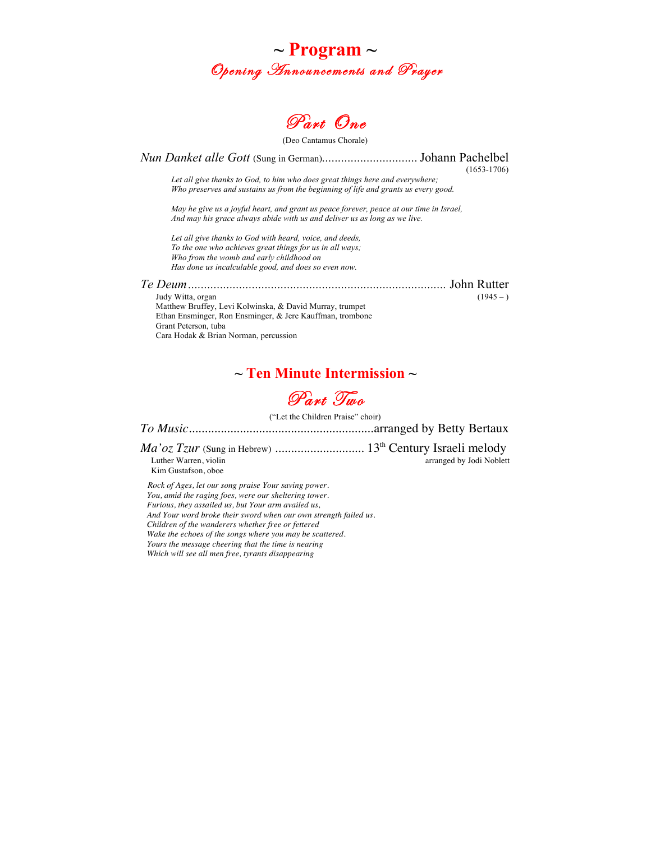



(Deo Cantamus Chorale)

*Nun Danket alle Gott* (Sung in German)*..............................*Johann Pachelbel (1653-1706) *Let all give thanks to God, to him who does great things here and everywhere; Who preserves and sustains us from the beginning of life and grants us every good. May he give us a joyful heart, and grant us peace forever, peace at our time in Israel, And may his grace always abide with us and deliver us as long as we live. Let all give thanks to God with heard, voice, and deeds, To the one who achieves great things for us in all ways; Who from the womb and early childhood on Has done us incalculable good, and does so even now. Te Deum.................................................................................* John Rutter Judy Witta, organ  $(1945 - )$ Matthew Bruffey, Levi Kolwinska, & David Murray, trumpet Ethan Ensminger, Ron Ensminger, & Jere Kauffman, trombone Grant Peterson, tuba Cara Hodak & Brian Norman, percussion

### **~ Ten Minute Intermission ~**

## Part Ting

("Let the Children Praise" choir)

*To Music*..........................................................arranged by Betty Bertaux

*Ma'oz Tzur* (Sung in Hebrew) ............................ 13th Century Israeli melody arranged by Jodi Noblett Kim Gustafson, oboe

 *Rock of Ages, let our song praise Your saving power. You, amid the raging foes, were our sheltering tower. Furious, they assailed us, but Your arm availed us, And Your word broke their sword when our own strength failed us. Children of the wanderers whether free or fettered Wake the echoes of the songs where you may be scattered. Yours the message cheering that the time is nearing Which will see all men free, tyrants disappearing*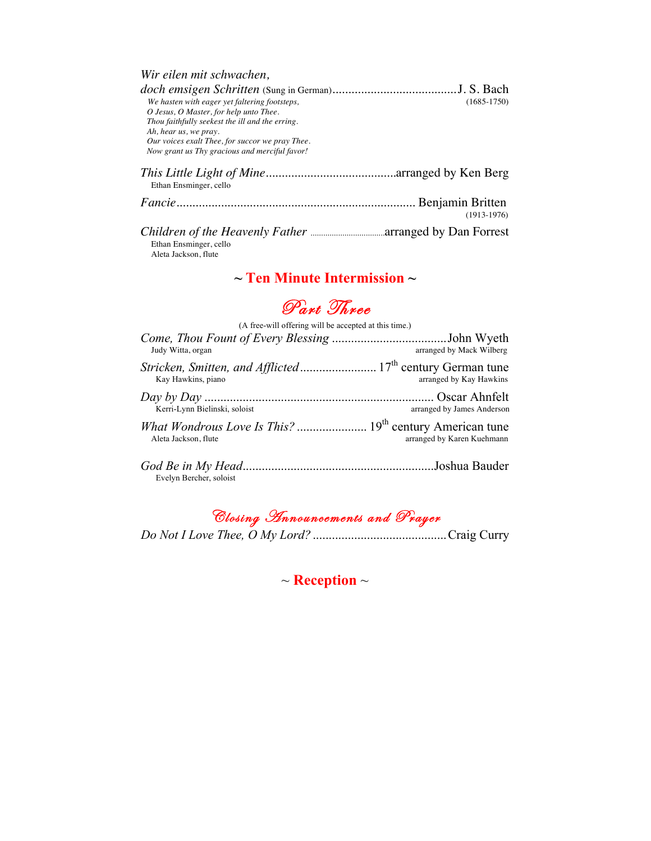| Wir eilen mit schwachen,                        |                 |
|-------------------------------------------------|-----------------|
|                                                 |                 |
| We hasten with eager yet faltering footsteps,   | $(1685 - 1750)$ |
| O Jesus, O Master, for help unto Thee.          |                 |
| Thou faithfully seekest the ill and the erring. |                 |
| Ah, hear us, we pray.                           |                 |
| Our voices exalt Thee, for succor we pray Thee. |                 |
| Now grant us Thy gracious and merciful favor!   |                 |
| Ethan Ensminger, cello                          |                 |
|                                                 | $(1913-1976)$   |
| Ethan Ensminger, cello<br>Aleta Jackson, flute  |                 |

### **~ Ten Minute Intermission ~**

## Part Three

| (A free-will offering will be accepted at this time.) |                            |  |
|-------------------------------------------------------|----------------------------|--|
| Judy Witta, organ                                     | arranged by Mack Wilberg   |  |
| Kay Hawkins, piano                                    | arranged by Kay Hawkins    |  |
| Kerri-Lynn Bielinski, soloist                         | arranged by James Anderson |  |
| Aleta Jackson, flute                                  | arranged by Karen Kuehmann |  |
| Evelyn Bercher, soloist                               |                            |  |

# Closing Announcements and Prayer

*Do Not I Love Thee, O My Lord?* ..........................................Craig Curry

~ **Reception** ~